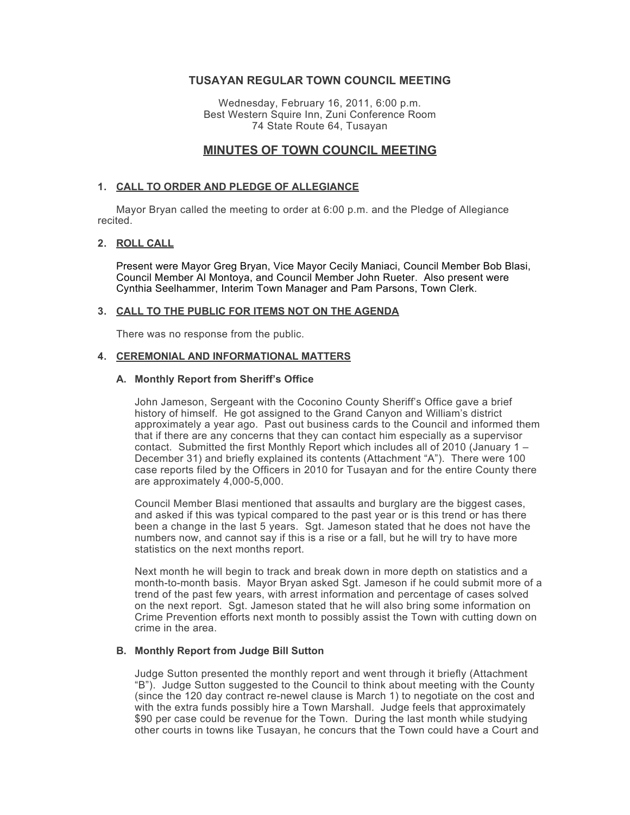## **TUSAYAN REGULAR TOWN COUNCIL MEETING**

Wednesday, February 16, 2011, 6:00 p.m. Best Western Squire Inn, Zuni Conference Room 74 State Route 64, Tusayan

# **MINUTES OF TOWN COUNCIL MEETING**

## **1. CALL TO ORDER AND PLEDGE OF ALLEGIANCE**

Mayor Bryan called the meeting to order at 6:00 p.m. and the Pledge of Allegiance recited.

## **2. ROLL CALL**

Present were Mayor Greg Bryan, Vice Mayor Cecily Maniaci, Council Member Bob Blasi, Council Member Al Montoya, and Council Member John Rueter. Also present were Cynthia Seelhammer, Interim Town Manager and Pam Parsons, Town Clerk.

### **3. CALL TO THE PUBLIC FOR ITEMS NOT ON THE AGENDA**

There was no response from the public.

## **4. CEREMONIAL AND INFORMATIONAL MATTERS**

## **A. Monthly Report from Sheriff's Office**

John Jameson, Sergeant with the Coconino County Sheriff's Office gave a brief history of himself. He got assigned to the Grand Canyon and William's district approximately a year ago. Past out business cards to the Council and informed them that if there are any concerns that they can contact him especially as a supervisor contact. Submitted the first Monthly Report which includes all of 2010 (January 1 – December 31) and briefly explained its contents (Attachment "A"). There were 100 case reports filed by the Officers in 2010 for Tusayan and for the entire County there are approximately 4,000-5,000.

Council Member Blasi mentioned that assaults and burglary are the biggest cases, and asked if this was typical compared to the past year or is this trend or has there been a change in the last 5 years. Sgt. Jameson stated that he does not have the numbers now, and cannot say if this is a rise or a fall, but he will try to have more statistics on the next months report.

Next month he will begin to track and break down in more depth on statistics and a month-to-month basis. Mayor Bryan asked Sgt. Jameson if he could submit more of a trend of the past few years, with arrest information and percentage of cases solved on the next report. Sgt. Jameson stated that he will also bring some information on Crime Prevention efforts next month to possibly assist the Town with cutting down on crime in the area.

### **B. Monthly Report from Judge Bill Sutton**

Judge Sutton presented the monthly report and went through it briefly (Attachment "B"). Judge Sutton suggested to the Council to think about meeting with the County (since the 120 day contract re-newel clause is March 1) to negotiate on the cost and with the extra funds possibly hire a Town Marshall. Judge feels that approximately \$90 per case could be revenue for the Town. During the last month while studying other courts in towns like Tusayan, he concurs that the Town could have a Court and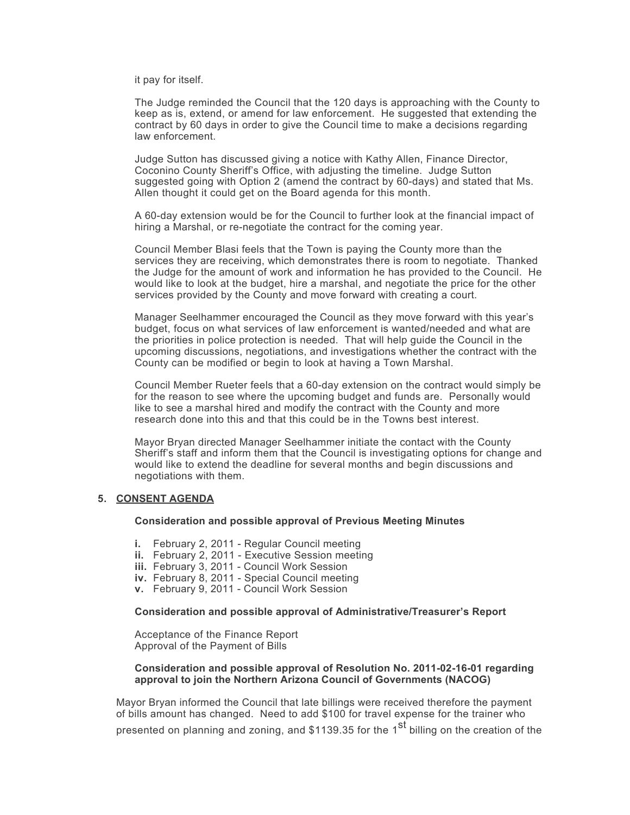it pay for itself.

The Judge reminded the Council that the 120 days is approaching with the County to keep as is, extend, or amend for law enforcement. He suggested that extending the contract by 60 days in order to give the Council time to make a decisions regarding law enforcement.

Judge Sutton has discussed giving a notice with Kathy Allen, Finance Director, Coconino County Sheriff's Office, with adjusting the timeline. Judge Sutton suggested going with Option 2 (amend the contract by 60-days) and stated that Ms. Allen thought it could get on the Board agenda for this month.

A 60-day extension would be for the Council to further look at the financial impact of hiring a Marshal, or re-negotiate the contract for the coming year.

Council Member Blasi feels that the Town is paying the County more than the services they are receiving, which demonstrates there is room to negotiate. Thanked the Judge for the amount of work and information he has provided to the Council. He would like to look at the budget, hire a marshal, and negotiate the price for the other services provided by the County and move forward with creating a court.

Manager Seelhammer encouraged the Council as they move forward with this year's budget, focus on what services of law enforcement is wanted/needed and what are the priorities in police protection is needed. That will help guide the Council in the upcoming discussions, negotiations, and investigations whether the contract with the County can be modified or begin to look at having a Town Marshal.

Council Member Rueter feels that a 60-day extension on the contract would simply be for the reason to see where the upcoming budget and funds are. Personally would like to see a marshal hired and modify the contract with the County and more research done into this and that this could be in the Towns best interest.

Mayor Bryan directed Manager Seelhammer initiate the contact with the County Sheriff's staff and inform them that the Council is investigating options for change and would like to extend the deadline for several months and begin discussions and negotiations with them.

### **5. CONSENT AGENDA**

#### **Consideration and possible approval of Previous Meeting Minutes**

- **i.** February 2, 2011 Regular Council meeting
- **ii.** February 2, 2011 Executive Session meeting
- **iii.** February 3, 2011 Council Work Session
- **iv.** February 8, 2011 Special Council meeting
- **v.** February 9, 2011 Council Work Session

#### **Consideration and possible approval of Administrative/Treasurer's Report**

Acceptance of the Finance Report Approval of the Payment of Bills

#### **Consideration and possible approval of Resolution No. 2011-02-16-01 regarding approval to join the Northern Arizona Council of Governments (NACOG)**

Mayor Bryan informed the Council that late billings were received therefore the payment of bills amount has changed. Need to add \$100 for travel expense for the trainer who

presented on planning and zoning, and \$1139.35 for the 1<sup>st</sup> billing on the creation of the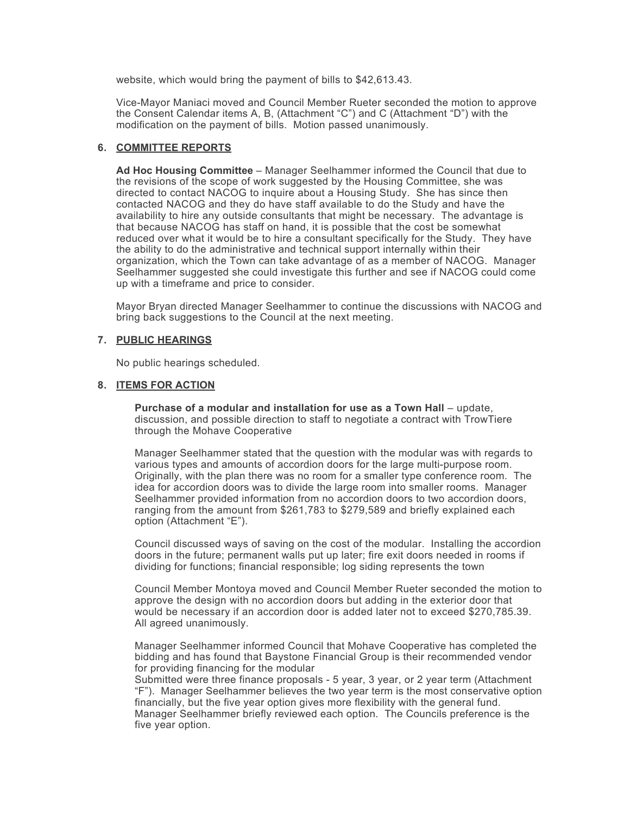website, which would bring the payment of bills to \$42,613.43.

Vice-Mayor Maniaci moved and Council Member Rueter seconded the motion to approve the Consent Calendar items A, B, (Attachment "C") and C (Attachment "D") with the modification on the payment of bills. Motion passed unanimously.

## **6. COMMITTEE REPORTS**

**Ad Hoc Housing Committee** – Manager Seelhammer informed the Council that due to the revisions of the scope of work suggested by the Housing Committee, she was directed to contact NACOG to inquire about a Housing Study. She has since then contacted NACOG and they do have staff available to do the Study and have the availability to hire any outside consultants that might be necessary. The advantage is that because NACOG has staff on hand, it is possible that the cost be somewhat reduced over what it would be to hire a consultant specifically for the Study. They have the ability to do the administrative and technical support internally within their organization, which the Town can take advantage of as a member of NACOG. Manager Seelhammer suggested she could investigate this further and see if NACOG could come up with a timeframe and price to consider.

Mayor Bryan directed Manager Seelhammer to continue the discussions with NACOG and bring back suggestions to the Council at the next meeting.

## **7. PUBLIC HEARINGS**

No public hearings scheduled.

### **8. ITEMS FOR ACTION**

**Purchase of a modular and installation for use as a Town Hall** – update, discussion, and possible direction to staff to negotiate a contract with TrowTiere through the Mohave Cooperative

Manager Seelhammer stated that the question with the modular was with regards to various types and amounts of accordion doors for the large multi-purpose room. Originally, with the plan there was no room for a smaller type conference room. The idea for accordion doors was to divide the large room into smaller rooms. Manager Seelhammer provided information from no accordion doors to two accordion doors, ranging from the amount from \$261,783 to \$279,589 and briefly explained each option (Attachment "E").

Council discussed ways of saving on the cost of the modular. Installing the accordion doors in the future; permanent walls put up later; fire exit doors needed in rooms if dividing for functions; financial responsible; log siding represents the town

Council Member Montoya moved and Council Member Rueter seconded the motion to approve the design with no accordion doors but adding in the exterior door that would be necessary if an accordion door is added later not to exceed \$270,785.39. All agreed unanimously.

Manager Seelhammer informed Council that Mohave Cooperative has completed the bidding and has found that Baystone Financial Group is their recommended vendor for providing financing for the modular

Submitted were three finance proposals - 5 year, 3 year, or 2 year term (Attachment "F"). Manager Seelhammer believes the two year term is the most conservative option financially, but the five year option gives more flexibility with the general fund. Manager Seelhammer briefly reviewed each option. The Councils preference is the five year option.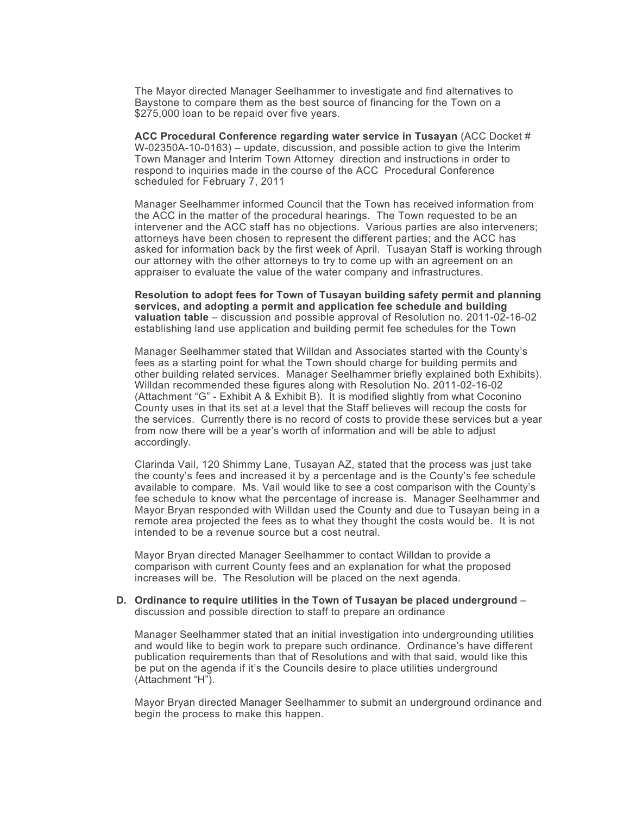The Mayor directed Manager Seelhammer to investigate and find alternatives to Baystone to compare them as the best source of financing for the Town on a \$275,000 loan to be repaid over five years.

**ACC Procedural Conference regarding water service in Tusayan** (ACC Docket # W-02350A-10-0163) – update, discussion, and possible action to give the Interim Town Manager and Interim Town Attorney direction and instructions in order to respond to inquiries made in the course of the ACC Procedural Conference scheduled for February 7, 2011

Manager Seelhammer informed Council that the Town has received information from the ACC in the matter of the procedural hearings. The Town requested to be an intervener and the ACC staff has no objections. Various parties are also interveners; attorneys have been chosen to represent the different parties; and the ACC has asked for information back by the first week of April. Tusayan Staff is working through our attorney with the other attorneys to try to come up with an agreement on an appraiser to evaluate the value of the water company and infrastructures.

**Resolution to adopt fees for Town of Tusayan building safety permit and planning services, and adopting a permit and application fee schedule and building valuation table** – discussion and possible approval of Resolution no. 2011-02-16-02 establishing land use application and building permit fee schedules for the Town

Manager Seelhammer stated that Willdan and Associates started with the County's fees as a starting point for what the Town should charge for building permits and other building related services. Manager Seelhammer briefly explained both Exhibits). Willdan recommended these figures along with Resolution No. 2011-02-16-02 (Attachment "G" - Exhibit A & Exhibit B). It is modified slightly from what Coconino County uses in that its set at a level that the Staff believes will recoup the costs for the services. Currently there is no record of costs to provide these services but a year from now there will be a year's worth of information and will be able to adjust accordingly.

Clarinda Vail, 120 Shimmy Lane, Tusayan AZ, stated that the process was just take the county's fees and increased it by a percentage and is the County's fee schedule available to compare. Ms. Vail would like to see a cost comparison with the County's fee schedule to know what the percentage of increase is. Manager Seelhammer and Mayor Bryan responded with Willdan used the County and due to Tusayan being in a remote area projected the fees as to what they thought the costs would be. It is not intended to be a revenue source but a cost neutral.

Mayor Bryan directed Manager Seelhammer to contact Willdan to provide a comparison with current County fees and an explanation for what the proposed increases will be. The Resolution will be placed on the next agenda.

#### **D. Ordinance to require utilities in the Town of Tusayan be placed underground** – discussion and possible direction to staff to prepare an ordinance

Manager Seelhammer stated that an initial investigation into undergrounding utilities and would like to begin work to prepare such ordinance. Ordinance's have different publication requirements than that of Resolutions and with that said, would like this be put on the agenda if it's the Councils desire to place utilities underground (Attachment "H").

Mayor Bryan directed Manager Seelhammer to submit an underground ordinance and begin the process to make this happen.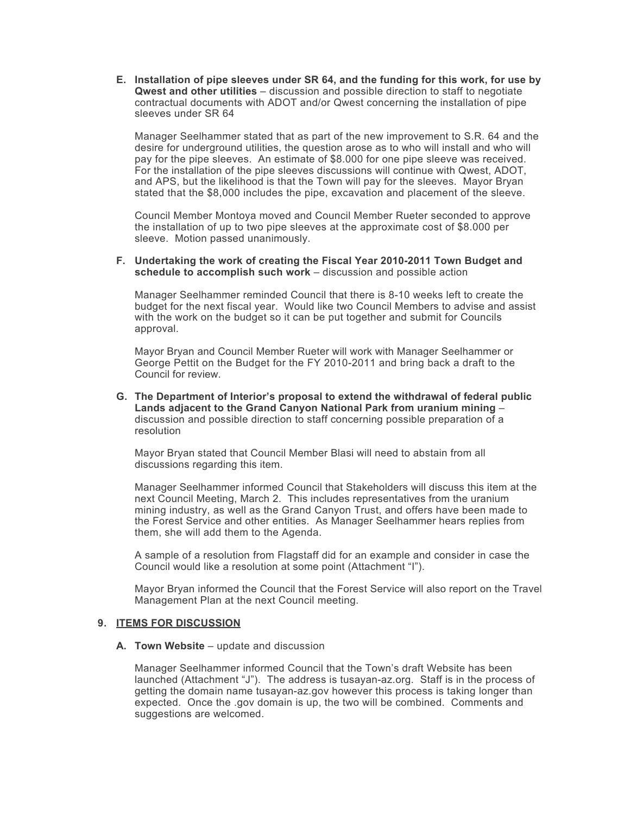**E. Installation of pipe sleeves under SR 64, and the funding for this work, for use by Qwest and other utilities** – discussion and possible direction to staff to negotiate contractual documents with ADOT and/or Qwest concerning the installation of pipe sleeves under SR 64

Manager Seelhammer stated that as part of the new improvement to S.R. 64 and the desire for underground utilities, the question arose as to who will install and who will pay for the pipe sleeves. An estimate of \$8.000 for one pipe sleeve was received. For the installation of the pipe sleeves discussions will continue with Qwest, ADOT, and APS, but the likelihood is that the Town will pay for the sleeves. Mayor Bryan stated that the \$8,000 includes the pipe, excavation and placement of the sleeve.

Council Member Montoya moved and Council Member Rueter seconded to approve the installation of up to two pipe sleeves at the approximate cost of \$8.000 per sleeve. Motion passed unanimously.

#### **F. Undertaking the work of creating the Fiscal Year 2010-2011 Town Budget and schedule to accomplish such work** – discussion and possible action

Manager Seelhammer reminded Council that there is 8-10 weeks left to create the budget for the next fiscal year. Would like two Council Members to advise and assist with the work on the budget so it can be put together and submit for Councils approval.

Mayor Bryan and Council Member Rueter will work with Manager Seelhammer or George Pettit on the Budget for the FY 2010-2011 and bring back a draft to the Council for review.

**G. The Department of Interior's proposal to extend the withdrawal of federal public Lands adjacent to the Grand Canyon National Park from uranium mining** – discussion and possible direction to staff concerning possible preparation of a resolution

Mayor Bryan stated that Council Member Blasi will need to abstain from all discussions regarding this item.

Manager Seelhammer informed Council that Stakeholders will discuss this item at the next Council Meeting, March 2. This includes representatives from the uranium mining industry, as well as the Grand Canyon Trust, and offers have been made to the Forest Service and other entities. As Manager Seelhammer hears replies from them, she will add them to the Agenda.

A sample of a resolution from Flagstaff did for an example and consider in case the Council would like a resolution at some point (Attachment "I").

Mayor Bryan informed the Council that the Forest Service will also report on the Travel Management Plan at the next Council meeting.

## **9. ITEMS FOR DISCUSSION**

#### **A. Town Website** – update and discussion

Manager Seelhammer informed Council that the Town's draft Website has been launched (Attachment "J"). The address is tusayan-az.org. Staff is in the process of getting the domain name tusayan-az.gov however this process is taking longer than expected. Once the .gov domain is up, the two will be combined. Comments and suggestions are welcomed.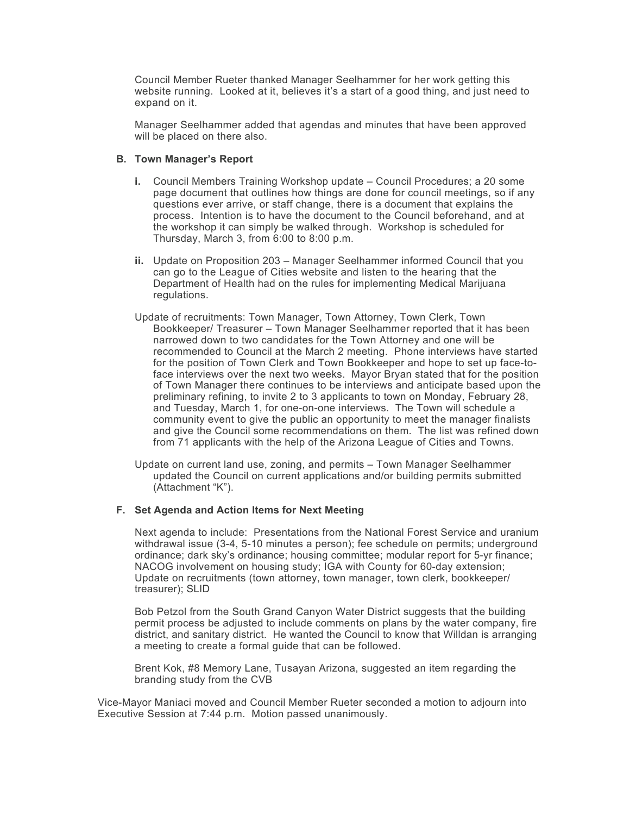Council Member Rueter thanked Manager Seelhammer for her work getting this website running. Looked at it, believes it's a start of a good thing, and just need to expand on it.

Manager Seelhammer added that agendas and minutes that have been approved will be placed on there also.

## **B. Town Manager's Report**

- **i.** Council Members Training Workshop update Council Procedures; a 20 some page document that outlines how things are done for council meetings, so if any questions ever arrive, or staff change, there is a document that explains the process. Intention is to have the document to the Council beforehand, and at the workshop it can simply be walked through. Workshop is scheduled for Thursday, March 3, from 6:00 to 8:00 p.m.
- **ii.** Update on Proposition 203 Manager Seelhammer informed Council that you can go to the League of Cities website and listen to the hearing that the Department of Health had on the rules for implementing Medical Marijuana regulations.
- Update of recruitments: Town Manager, Town Attorney, Town Clerk, Town Bookkeeper/ Treasurer – Town Manager Seelhammer reported that it has been narrowed down to two candidates for the Town Attorney and one will be recommended to Council at the March 2 meeting. Phone interviews have started for the position of Town Clerk and Town Bookkeeper and hope to set up face-toface interviews over the next two weeks. Mayor Bryan stated that for the position of Town Manager there continues to be interviews and anticipate based upon the preliminary refining, to invite 2 to 3 applicants to town on Monday, February 28, and Tuesday, March 1, for one-on-one interviews. The Town will schedule a community event to give the public an opportunity to meet the manager finalists and give the Council some recommendations on them. The list was refined down from 71 applicants with the help of the Arizona League of Cities and Towns.
- Update on current land use, zoning, and permits Town Manager Seelhammer updated the Council on current applications and/or building permits submitted (Attachment "K").

### **F. Set Agenda and Action Items for Next Meeting**

Next agenda to include: Presentations from the National Forest Service and uranium withdrawal issue (3-4, 5-10 minutes a person); fee schedule on permits; underground ordinance; dark sky's ordinance; housing committee; modular report for 5-yr finance; NACOG involvement on housing study; IGA with County for 60-day extension; Update on recruitments (town attorney, town manager, town clerk, bookkeeper/ treasurer); SLID

Bob Petzol from the South Grand Canyon Water District suggests that the building permit process be adjusted to include comments on plans by the water company, fire district, and sanitary district. He wanted the Council to know that Willdan is arranging a meeting to create a formal guide that can be followed.

Brent Kok, #8 Memory Lane, Tusayan Arizona, suggested an item regarding the branding study from the CVB

Vice-Mayor Maniaci moved and Council Member Rueter seconded a motion to adjourn into Executive Session at 7:44 p.m. Motion passed unanimously.